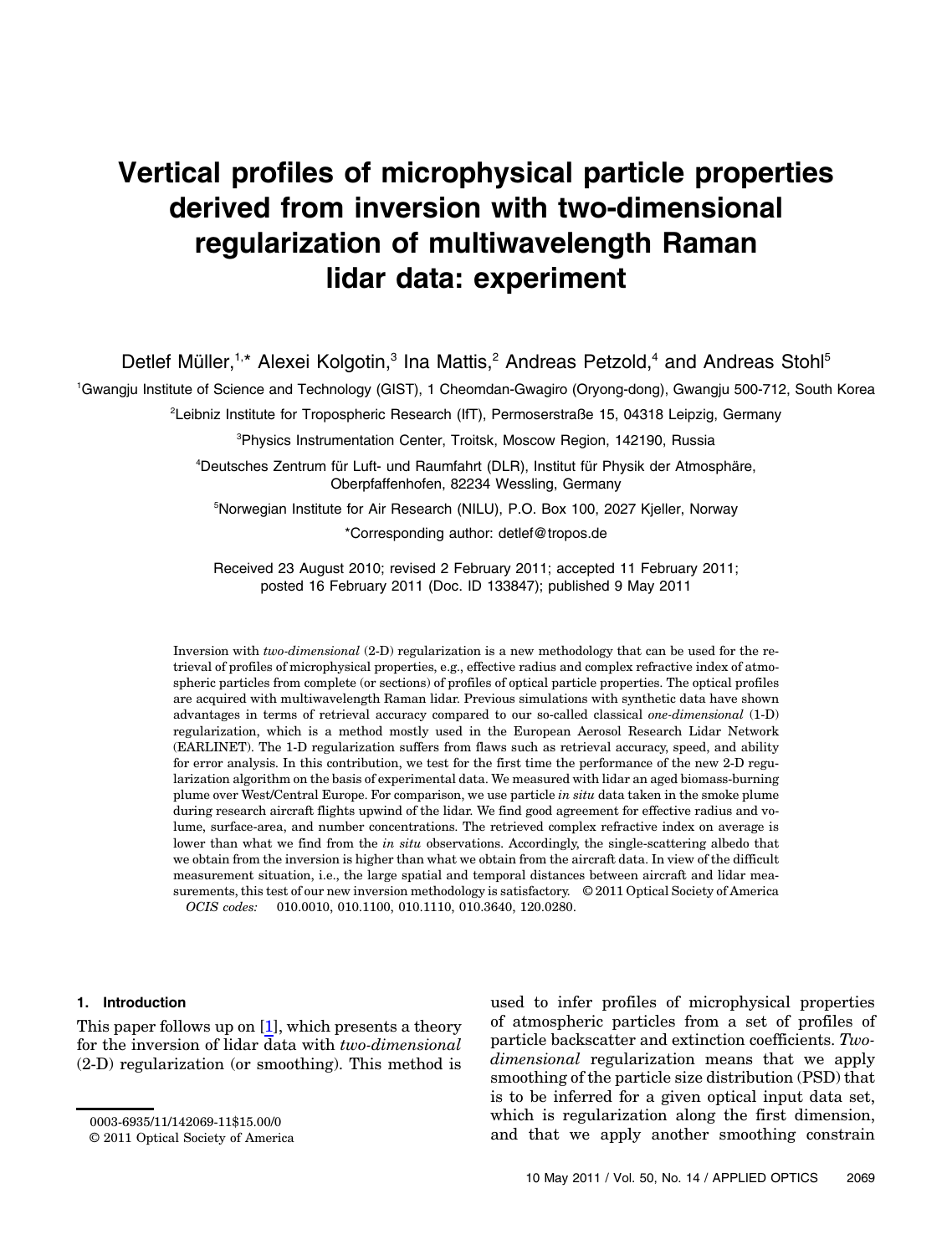# Vertical profiles of microphysical particle properties derived from inversion with two-dimensional regularization of multiwavelength Raman lidar data: experiment

Detlef Müller,<sup>1,\*</sup> Alexei Kolgotin,<sup>3</sup> Ina Mattis,<sup>2</sup> Andreas Petzold,<sup>4</sup> and Andreas Stohl<sup>5</sup>

1 Gwangju Institute of Science and Technology (GIST), 1 Cheomdan-Gwagiro (Oryong-dong), Gwangju 500-712, South Korea

2 Leibniz Institute for Tropospheric Research (IfT), Permoserstraße 15, 04318 Leipzig, Germany

3 Physics Instrumentation Center, Troitsk, Moscow Region, 142190, Russia

4 Deutsches Zentrum für Luft- und Raumfahrt (DLR), Institut für Physik der Atmosphäre, Oberpfaffenhofen, 82234 Wessling, Germany

5 Norwegian Institute for Air Research (NILU), P.O. Box 100, 2027 Kjeller, Norway \*Corresponding author: detlef@tropos.de

Received 23 August 2010; revised 2 February 2011; accepted 11 February 2011; posted 16 February 2011 (Doc. ID 133847); published 9 May 2011

Inversion with two-dimensional (2-D) regularization is a new methodology that can be used for the retrieval of profiles of microphysical properties, e.g., effective radius and complex refractive index of atmospheric particles from complete (or sections) of profiles of optical particle properties. The optical profiles are acquired with multiwavelength Raman lidar. Previous simulations with synthetic data have shown advantages in terms of retrieval accuracy compared to our so-called classical one-dimensional (1-D) regularization, which is a method mostly used in the European Aerosol Research Lidar Network (EARLINET). The 1-D regularization suffers from flaws such as retrieval accuracy, speed, and ability for error analysis. In this contribution, we test for the first time the performance of the new 2-D regularization algorithm on the basis of experimental data. We measured with lidar an aged biomass-burning plume over West/Central Europe. For comparison, we use particle in situ data taken in the smoke plume during research aircraft flights upwind of the lidar. We find good agreement for effective radius and volume, surface-area, and number concentrations. The retrieved complex refractive index on average is lower than what we find from the in situ observations. Accordingly, the single-scattering albedo that we obtain from the inversion is higher than what we obtain from the aircraft data. In view of the difficult measurement situation, i.e., the large spatial and temporal distances between aircraft and lidar measurements, this test of our new inversion methodology is satisfactory. © 2011 Optical Society of America OCIS codes: 010.0010, 010.1100, 010.1110, 010.3640, 120.0280.

#### 1. Introduction

This paper follows up on [\[1\]](#page-9-0), which presents a theory for the inversion of lidar data with two-dimensional (2-D) regularization (or smoothing). This method is

<span id="page-0-0"></span>used to infer profiles of microphysical properties of atmospheric particles from a set of profiles of particle backscatter and extinction coefficients. Twodimensional regularization means that we apply smoothing of the particle size distribution (PSD) that is to be inferred for a given optical input data set, which is regularization along the first dimension, 0003-6935/11/142069-11\$15.00/0<br>© 2011 Optical Society of America and that we apply another smoothing constrain 0

<sup>© 2011</sup> Optical Society of America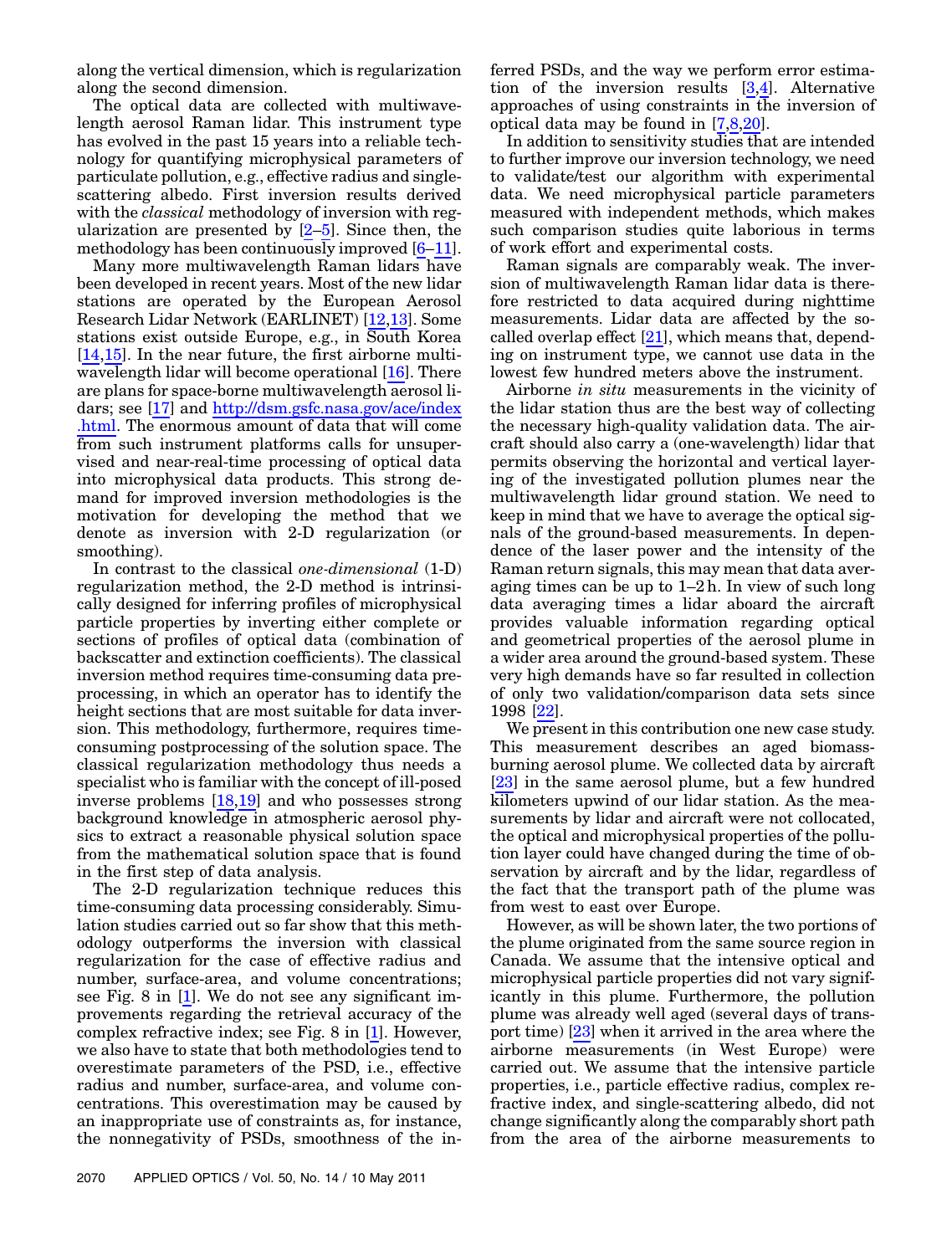along the vertical dimension, which is regularization along the second dimension.

The optical data are collected with multiwavelength aerosol Raman lidar. This instrument type has evolved in the past 15 years into a reliable technology for quantifying microphysical parameters of particulate pollution, e.g., effective radius and singlescattering albedo. First inversion results derived with the *classical* methodology of inversion with regularization are presented by  $[2-5]$  $[2-5]$  $[2-5]$  $[2-5]$  $[2-5]$ . Since then, the methodology has been continuously improved [[6](#page-9-3)–[11](#page-9-4)].

Many more multiwavelength Raman lidars have been developed in recent years. Most of the new lidar stations are operated by the European Aerosol Research Lidar Network (EARLINET) [[12](#page-9-5)[,13](#page-9-6)]. Some stations exist outside Europe, e.g., in South Korea [\[14](#page-10-0),[15](#page-10-1)]. In the near future, the first airborne multiwavelength lidar will become operational [[16\]](#page-10-2). There are plans for space-borne multiwavelength aerosol lidars; see [[17](#page-10-3)] and [http://dsm.gsfc.nasa.gov/ace/index](http://dsm.gsfc.nasa.gov/ace/index.html) [.html.](http://dsm.gsfc.nasa.gov/ace/index.html) The enormous amount of data that will come from such instrument platforms calls for unsupervised and near-real-time processing of optical data into microphysical data products. This strong demand for improved inversion methodologies is the motivation for developing the method that we denote as inversion with 2-D regularization (or smoothing).

In contrast to the classical one-dimensional (1-D) regularization method, the 2-D method is intrinsically designed for inferring profiles of microphysical particle properties by inverting either complete or sections of profiles of optical data (combination of backscatter and extinction coefficients). The classical inversion method requires time-consuming data preprocessing, in which an operator has to identify the height sections that are most suitable for data inversion. This methodology, furthermore, requires timeconsuming postprocessing of the solution space. The classical regularization methodology thus needs a specialist who is familiar with the concept of ill-posed inverse problems [[18](#page-10-4),[19\]](#page-10-5) and who possesses strong background knowledge in atmospheric aerosol physics to extract a reasonable physical solution space from the mathematical solution space that is found in the first step of data analysis.

The 2-D regularization technique reduces this time-consuming data processing considerably. Simulation studies carried out so far show that this methodology outperforms the inversion with classical regularization for the case of effective radius and number, surface-area, and volume concentrations; see Fig. 8 in [[1](#page-9-0)]. We do not see any significant improvements regarding the retrieval accuracy of the complex refractive index; see Fig. 8 in [[1](#page-9-0)]. However, we also have to state that both methodologies tend to overestimate parameters of the PSD, i.e., effective radius and number, surface-area, and volume concentrations. This overestimation may be caused by an inappropriate use of constraints as, for instance, the nonnegativity of PSDs, smoothness of the inferred PSDs, and the way we perform error estimation of the inversion results [[3](#page-9-7),[4](#page-9-8)]. Alternative approaches of using constraints in the inversion of optical data may be found in [\[7](#page-9-9)[,8,](#page-9-10)[20\]](#page-10-6).

In addition to sensitivity studies that are intended to further improve our inversion technology, we need to validate/test our algorithm with experimental data. We need microphysical particle parameters measured with independent methods, which makes such comparison studies quite laborious in terms of work effort and experimental costs.

Raman signals are comparably weak. The inversion of multiwavelength Raman lidar data is therefore restricted to data acquired during nighttime measurements. Lidar data are affected by the socalled overlap effect  $[21]$  $[21]$ , which means that, depending on instrument type, we cannot use data in the lowest few hundred meters above the instrument.

Airborne in situ measurements in the vicinity of the lidar station thus are the best way of collecting the necessary high-quality validation data. The aircraft should also carry a (one-wavelength) lidar that permits observing the horizontal and vertical layering of the investigated pollution plumes near the multiwavelength lidar ground station. We need to keep in mind that we have to average the optical signals of the ground-based measurements. In dependence of the laser power and the intensity of the Raman return signals, this may mean that data averaging times can be up to <sup>1</sup>–<sup>2</sup> h. In view of such long data averaging times a lidar aboard the aircraft provides valuable information regarding optical and geometrical properties of the aerosol plume in a wider area around the ground-based system. These very high demands have so far resulted in collection of only two validation/comparison data sets since 1998 [[22\]](#page-10-8).

We present in this contribution one new case study. This measurement describes an aged biomassburning aerosol plume. We collected data by aircraft [\[23](#page-10-9)] in the same aerosol plume, but a few hundred kilometers upwind of our lidar station. As the measurements by lidar and aircraft were not collocated, the optical and microphysical properties of the pollution layer could have changed during the time of observation by aircraft and by the lidar, regardless of the fact that the transport path of the plume was from west to east over Europe.

However, as will be shown later, the two portions of the plume originated from the same source region in Canada. We assume that the intensive optical and microphysical particle properties did not vary significantly in this plume. Furthermore, the pollution plume was already well aged (several days of transport time) [[23\]](#page-10-9) when it arrived in the area where the airborne measurements (in West Europe) were carried out. We assume that the intensive particle properties, i.e., particle effective radius, complex refractive index, and single-scattering albedo, did not change significantly along the comparably short path from the area of the airborne measurements to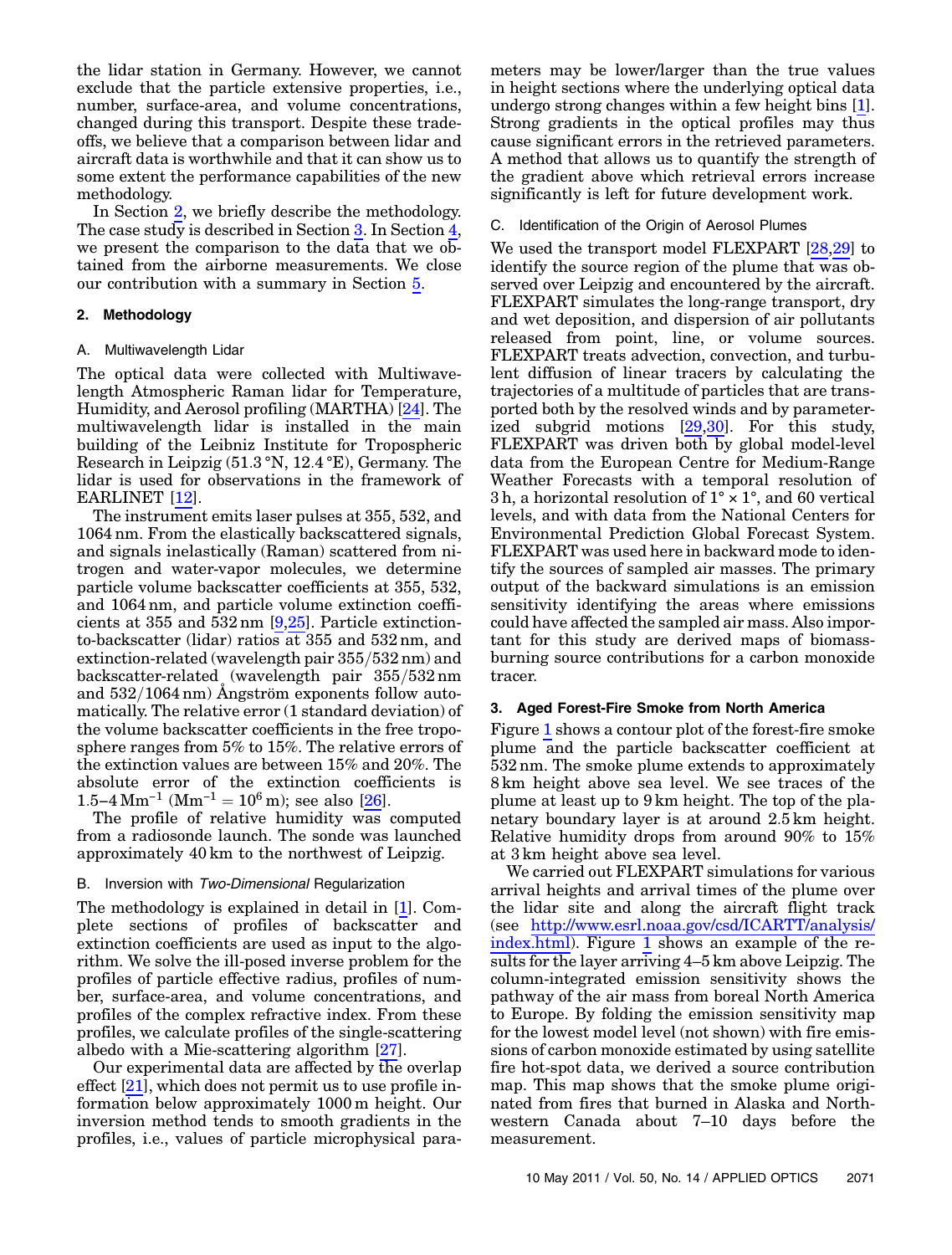the lidar station in Germany. However, we cannot exclude that the particle extensive properties, i.e., number, surface-area, and volume concentrations, changed during this transport. Despite these tradeoffs, we believe that a comparison between lidar and aircraft data is worthwhile and that it can show us to some extent the performance capabilities of the new methodology.

In Section [2,](#page-2-0) we briefly describe the methodology. The case study is described in Section [3](#page-2-1). In Section [4](#page-6-0), we present the comparison to the data that we obtained from the airborne measurements. We close our contribution with a summary in Section [5.](#page-8-0)

## <span id="page-2-0"></span>2. Methodology

#### A. Multiwavelength Lidar

The optical data were collected with Multiwavelength Atmospheric Raman lidar for Temperature, Humidity, and Aerosol profiling (MARTHA) [\[24](#page-10-10)]. The multiwavelength lidar is installed in the main building of the Leibniz Institute for Tropospheric Research in Leipzig (51:3 °N, 12:4 °E), Germany. The lidar is used for observations in the framework of EARLINET [\[12](#page-9-5)].

The instrument emits laser pulses at 355, 532, and 1064 nm. From the elastically backscattered signals, and signals inelastically (Raman) scattered from nitrogen and water-vapor molecules, we determine particle volume backscatter coefficients at 355, 532, and 1064 nm, and particle volume extinction coefficients at 355 and 532 nm [\[9,](#page-9-11)[25\]](#page-10-11). Particle extinctionto-backscatter (lidar) ratios at 355 and 532 nm, and extinction-related (wavelength pair  $355/532$  nm) and backscatter-related (wavelength pair  $355/532$  nm and  $532/1064 \text{ nm}$ ) Angström exponents follow automatically. The relative error (1 standard deviation) of the volume backscatter coefficients in the free troposphere ranges from 5% to 15%. The relative errors of the extinction values are between 15% and 20%. The absolute error of the extinction coefficients is sphere ranges from 5% to 15%. The relative<br>the extinction values are between 15% and<br>absolute error of the extinction coeffi<br>1.5−4 Mm<sup>-1</sup> (Mm<sup>-1</sup> = 10<sup>6</sup> m); see also [\[26](#page-10-12)].

The profile of relative humidity was computed from a radiosonde launch. The sonde was launched approximately 40 km to the northwest of Leipzig.

### B. Inversion with Two-Dimensional Regularization

The methodology is explained in detail in [[1](#page-9-0)]. Complete sections of profiles of backscatter and extinction coefficients are used as input to the algorithm. We solve the ill-posed inverse problem for the profiles of particle effective radius, profiles of number, surface-area, and volume concentrations, and profiles of the complex refractive index. From these profiles, we calculate profiles of the single-scattering albedo with a Mie-scattering algorithm [\[27](#page-10-13)].

Our experimental data are affected by the overlap effect [\[21](#page-10-7)], which does not permit us to use profile information below approximately 1000 m height. Our inversion method tends to smooth gradients in the profiles, i.e., values of particle microphysical parameters may be lower/larger than the true values in height sections where the underlying optical data undergo strong changes within a few height bins [[1](#page-9-0)]. Strong gradients in the optical profiles may thus cause significant errors in the retrieved parameters. A method that allows us to quantify the strength of the gradient above which retrieval errors increase significantly is left for future development work.

#### C. Identification of the Origin of Aerosol Plumes

We used the transport model FLEXPART [[28,](#page-10-14)[29\]](#page-10-15) to identify the source region of the plume that was observed over Leipzig and encountered by the aircraft. FLEXPART simulates the long-range transport, dry and wet deposition, and dispersion of air pollutants released from point, line, or volume sources. FLEXPART treats advection, convection, and turbulent diffusion of linear tracers by calculating the trajectories of a multitude of particles that are transported both by the resolved winds and by parameterized subgrid motions [\[29](#page-10-15),[30\]](#page-10-16). For this study, FLEXPART was driven both by global model-level data from the European Centre for Medium-Range Weather Forecasts with a temporal resolution of 3h, a horizontal resolution of  $1^\circ \times 1^\circ$ , and 60 vertical levels, and with data from the National Centers for Environmental Prediction Global Forecast System. FLEXPART was used here in backward mode to identify the sources of sampled air masses. The primary output of the backward simulations is an emission sensitivity identifying the areas where emissions could have affected the sampled air mass. Also important for this study are derived maps of biomassburning source contributions for a carbon monoxide tracer.

#### <span id="page-2-1"></span>3. Aged Forest-Fire Smoke from North America

Figure [1](#page-3-0) shows a contour plot of the forest-fire smoke plume and the particle backscatter coefficient at 532 nm. The smoke plume extends to approximately 8 km height above sea level. We see traces of the plume at least up to 9 km height. The top of the planetary boundary layer is at around 2:5 km height. Relative humidity drops from around 90% to 15% at 3 km height above sea level.

We carried out FLEXPART simulations for various arrival heights and arrival times of the plume over the lidar site and along the aircraft flight track (see [http://www.esrl.noaa.gov/csd/ICARTT/analysis/](http://www.esrl.noaa.gov/csd/ICARTT/analysis/index.html) [index.html\)](http://www.esrl.noaa.gov/csd/ICARTT/analysis/index.html). Figure [1](#page-3-0) shows an example of the results for the layer arriving <sup>4</sup>–<sup>5</sup> km above Leipzig. The column-integrated emission sensitivity shows the pathway of the air mass from boreal North America to Europe. By folding the emission sensitivity map for the lowest model level (not shown) with fire emissions of carbon monoxide estimated by using satellite fire hot-spot data, we derived a source contribution map. This map shows that the smoke plume originated from fires that burned in Alaska and Northwestern Canada about 7–10 days before the measurement.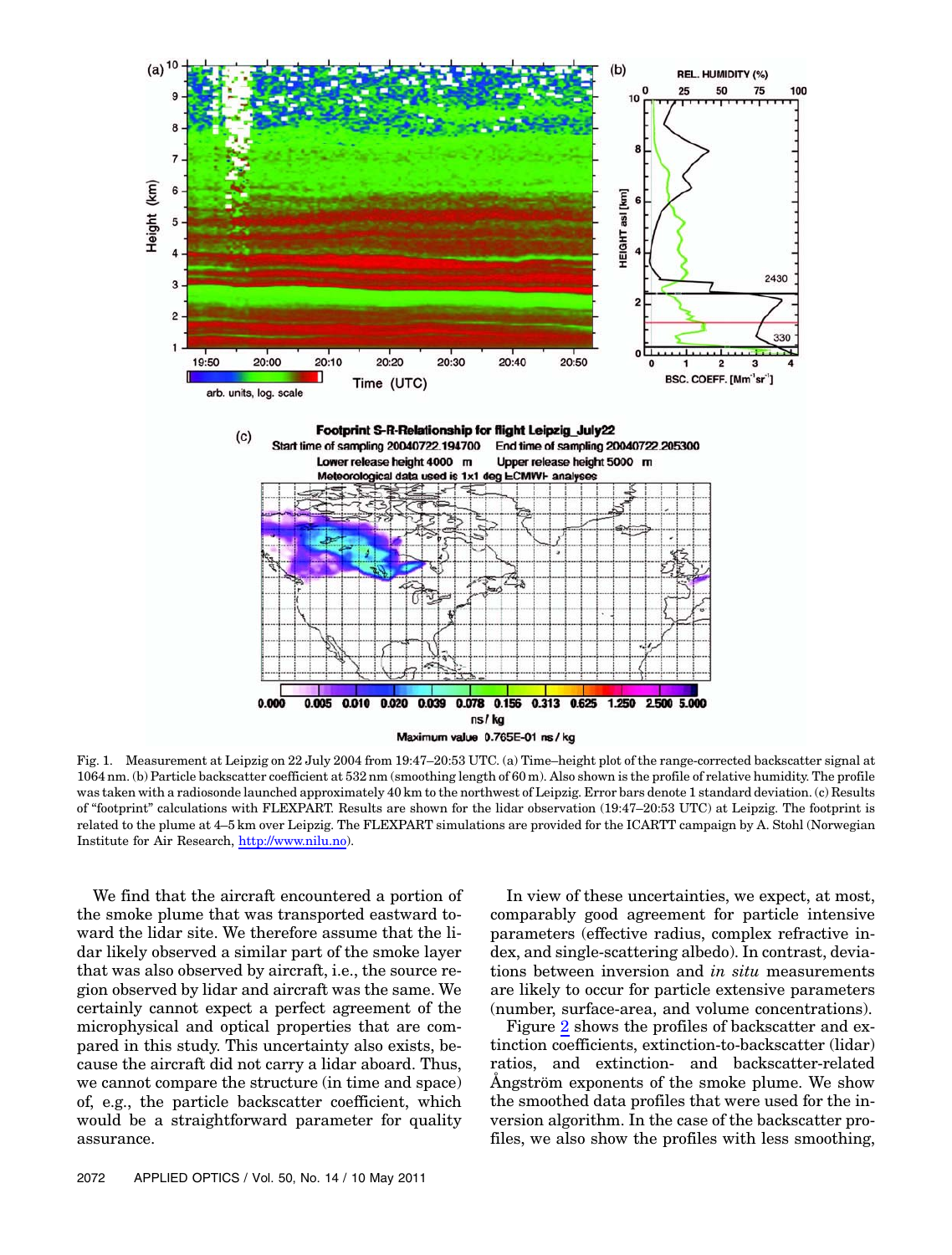<span id="page-3-0"></span>

Fig. 1. Measurement at Leipzig on 22 July 2004 from 19:47–20:53 UTC. (a) Time–height plot of the range-corrected backscatter signal at 1064 nm. (b) Particle backscatter coefficient at 532 nm (smoothing length of 60 m). Also shown is the profile of relative humidity. The profile was taken with a radiosonde launched approximately 40 km to the northwest of Leipzig. Error bars denote 1 standard deviation. (c) Results of "footprint" calculations with FLEXPART. Results are shown for the lidar observation (19:47–20:53 UTC) at Leipzig. The footprint is related to the plume at <sup>4</sup>–<sup>5</sup> km over Leipzig. The FLEXPART simulations are provided for the ICARTT campaign by A. Stohl (Norwegian Institute for Air Research, <http://www.nilu.no>).

We find that the aircraft encountered a portion of the smoke plume that was transported eastward toward the lidar site. We therefore assume that the lidar likely observed a similar part of the smoke layer that was also observed by aircraft, i.e., the source region observed by lidar and aircraft was the same. We certainly cannot expect a perfect agreement of the microphysical and optical properties that are compared in this study. This uncertainty also exists, because the aircraft did not carry a lidar aboard. Thus, we cannot compare the structure (in time and space) of, e.g., the particle backscatter coefficient, which would be a straightforward parameter for quality assurance.

In view of these uncertainties, we expect, at most, comparably good agreement for particle intensive parameters (effective radius, complex refractive index, and single-scattering albedo). In contrast, deviations between inversion and in situ measurements are likely to occur for particle extensive parameters (number, surface-area, and volume concentrations).

Figure [2](#page-5-0) shows the profiles of backscatter and extinction coefficients, extinction-to-backscatter (lidar) ratios, and extinction- and backscatter-related Ångström exponents of the smoke plume. We show the smoothed data profiles that were used for the inversion algorithm. In the case of the backscatter profiles, we also show the profiles with less smoothing,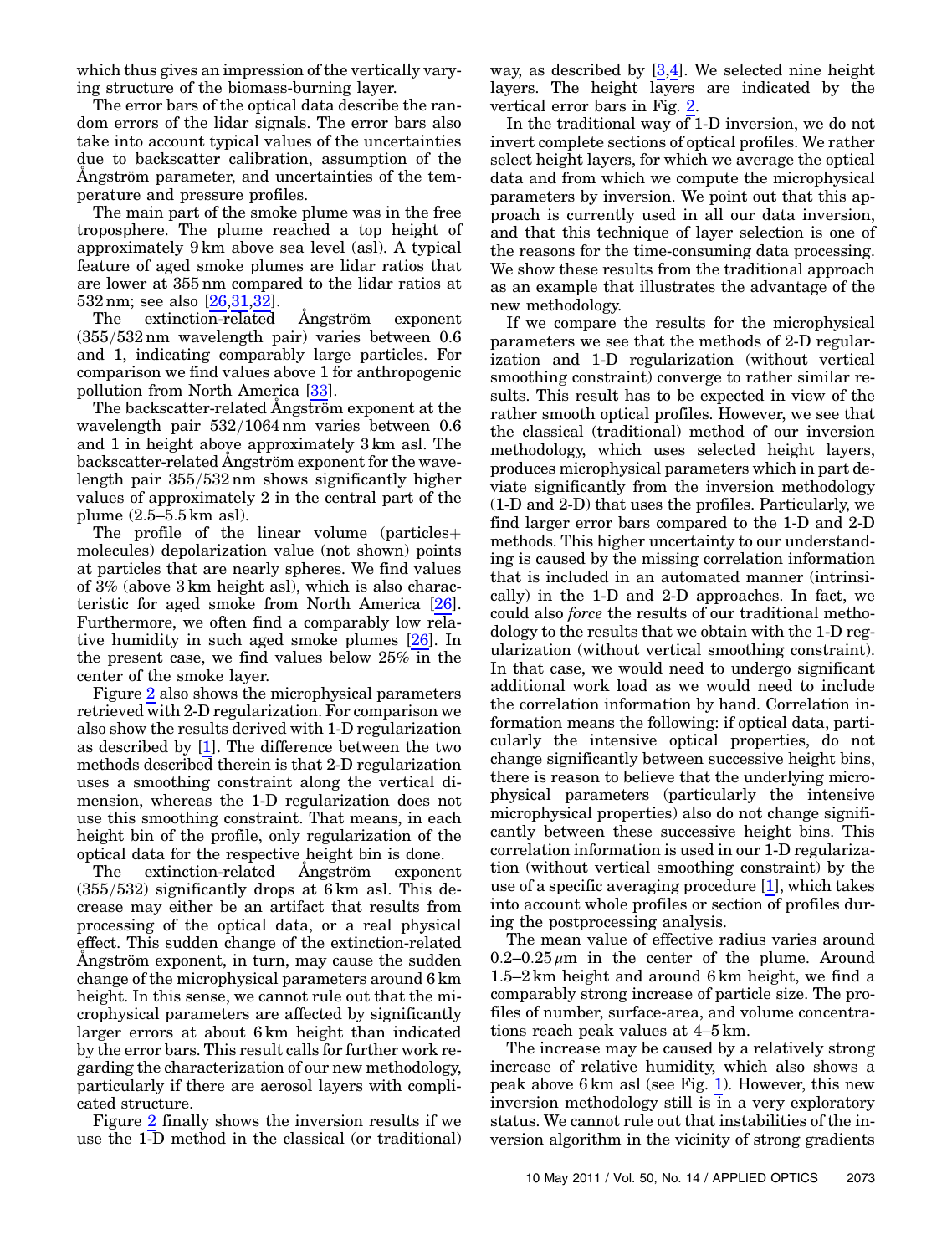which thus gives an impression of the vertically varying structure of the biomass-burning layer.

The error bars of the optical data describe the random errors of the lidar signals. The error bars also take into account typical values of the uncertainties due to backscatter calibration, assumption of the Ångström parameter, and uncertainties of the temperature and pressure profiles.

The main part of the smoke plume was in the free troposphere. The plume reached a top height of approximately 9 km above sea level (asl). A typical feature of aged smoke plumes are lidar ratios that are lower at 355 nm compared to the lidar ratios at 532 nm; see also [[26,](#page-10-12)[31](#page-10-17),[32](#page-10-18)].

The extinction-related Ångström exponent  $(355/532 \text{ nm}$  wavelength pair) varies between 0.6 and 1, indicating comparably large particles. For comparison we find values above 1 for anthropogenic pollution from North America [[33\]](#page-10-19).

The backscatter-related Ångström exponent at the wavelength pair  $532/1064$  nm varies between 0.6 and 1 in height above approximately 3 km asl. The backscatter-related Ångström exponent for the wavelength pair  $355/532$  nm shows significantly higher values of approximately 2 in the central part of the plume  $(2.5-5.5 \text{ km} \text{ as}$ ).

The profile of the linear volume (particles  $+$ molecules) depolarization value (not shown) points at particles that are nearly spheres. We find values of 3% (above 3 km height asl), which is also characteristic for aged smoke from North America [\[26](#page-10-12)]. Furthermore, we often find a comparably low relative humidity in such aged smoke plumes [\[26\]](#page-10-12). In the present case, we find values below 25% in the center of the smoke layer.

Figure [2](#page-5-0) also shows the microphysical parameters retrieved with 2-D regularization. For comparison we also show the results derived with 1-D regularization as described by [\[1\]](#page-9-0). The difference between the two methods described therein is that 2-D regularization uses a smoothing constraint along the vertical dimension, whereas the 1-D regularization does not use this smoothing constraint. That means, in each height bin of the profile, only regularization of the optical data for the respective height bin is done.

The extinction-related Ångström exponent  $(355/532)$  significantly drops at 6 km asl. This decrease may either be an artifact that results from processing of the optical data, or a real physical effect. This sudden change of the extinction-related Ångström exponent, in turn, may cause the sudden change of the microphysical parameters around 6 km height. In this sense, we cannot rule out that the microphysical parameters are affected by significantly larger errors at about 6 km height than indicated by the error bars. This result calls for further work regarding the characterization of our new methodology, particularly if there are aerosol layers with complicated structure.

Figure [2](#page-5-0) finally shows the inversion results if we use the 1-D method in the classical (or traditional)

way, as described by [[3](#page-9-7),[4](#page-9-8)]. We selected nine height layers. The height layers are indicated by the vertical error bars in Fig. [2.](#page-5-0)

In the traditional way of 1-D inversion, we do not invert complete sections of optical profiles. We rather select height layers, for which we average the optical data and from which we compute the microphysical parameters by inversion. We point out that this approach is currently used in all our data inversion, and that this technique of layer selection is one of the reasons for the time-consuming data processing. We show these results from the traditional approach as an example that illustrates the advantage of the new methodology.

If we compare the results for the microphysical parameters we see that the methods of 2-D regularization and 1-D regularization (without vertical smoothing constraint) converge to rather similar results. This result has to be expected in view of the rather smooth optical profiles. However, we see that the classical (traditional) method of our inversion methodology, which uses selected height layers, produces microphysical parameters which in part deviate significantly from the inversion methodology (1-D and 2-D) that uses the profiles. Particularly, we find larger error bars compared to the 1-D and 2-D methods. This higher uncertainty to our understanding is caused by the missing correlation information that is included in an automated manner (intrinsically) in the 1-D and 2-D approaches. In fact, we could also force the results of our traditional methodology to the results that we obtain with the 1-D regularization (without vertical smoothing constraint). In that case, we would need to undergo significant additional work load as we would need to include the correlation information by hand. Correlation information means the following: if optical data, particularly the intensive optical properties, do not change significantly between successive height bins, there is reason to believe that the underlying microphysical parameters (particularly the intensive microphysical properties) also do not change significantly between these successive height bins. This correlation information is used in our 1-D regularization (without vertical smoothing constraint) by the use of a specific averaging procedure [[1](#page-9-0)], which takes into account whole profiles or section of profiles during the postprocessing analysis.

The mean value of effective radius varies around 0.2–0.25  $\mu$ m in the center of the plume. Around <sup>1</sup>:5–<sup>2</sup> km height and around <sup>6</sup> km height, we find a comparably strong increase of particle size. The profiles of number, surface-area, and volume concentrations reach peak values at <sup>4</sup>–<sup>5</sup> km.

The increase may be caused by a relatively strong increase of relative humidity, which also shows a peak above 6 km asl (see Fig. [1](#page-3-0)). However, this new inversion methodology still is in a very exploratory status. We cannot rule out that instabilities of the inversion algorithm in the vicinity of strong gradients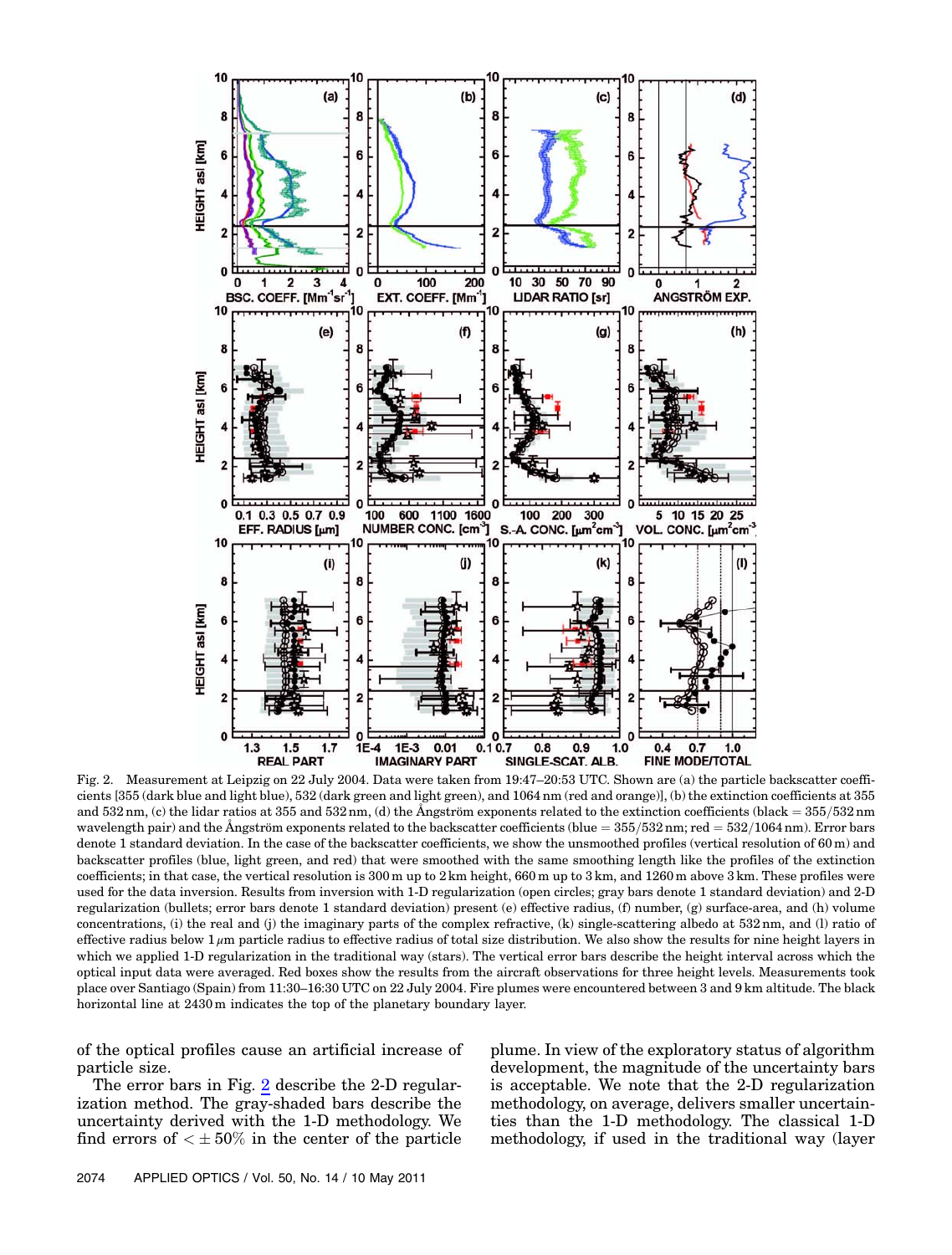<span id="page-5-0"></span>

cients [355 (dark blue and light blue), 532 (dark green and light green), and 1064 nm (red and orange)], (b) the extinction coefficients at 355 and  $532 \text{ nm}$ , (c) the lidar ratios at  $355$  and  $532 \text{ nm}$ , (d) the Ångström exponents related to the extinction coefficients (black =  $355/532 \text{ nm}$ ) wavelength pair) and the Ångström exponents related to the backscatter coefficients (blue =  $355/532$  nm; red =  $532/1064$  nm). Error bars denote 1 standard deviation. In the case of the backscatter coefficients, we show the unsmoothed profiles (vertical resolution of 60 m) and backscatter profiles (blue, light green, and red) that were smoothed with the same smoothing length like the profiles of the extinction coefficients; in that case, the vertical resolution is 300 m up to 2 km height, 660 m up to 3 km, and 1260 m above 3 km. These profiles were used for the data inversion. Results from inversion with 1-D regularization (open circles; gray bars denote 1 standard deviation) and 2-D regularization (bullets; error bars denote 1 standard deviation) present (e) effective radius, (f) number, (g) surface-area, and (h) volume concentrations, (i) the real and (j) the imaginary parts of the complex refractive, (k) single-scattering albedo at 532 nm, and (l) ratio of effective radius below  $1 \mu$ m particle radius to effective radius of total size distribution. We also show the results for nine height layers in which we applied 1-D regularization in the traditional way (stars). The vertical error bars describe the height interval across which the optical input data were averaged. Red boxes show the results from the aircraft observations for three height levels. Measurements took place over Santiago (Spain) from 11:30–16:30 UTC on 22 July 2004. Fire plumes were encountered between 3 and <sup>9</sup> km altitude. The black horizontal line at 2430 m indicates the top of the planetary boundary layer.

of the optical profiles cause an artificial increase of particle size.

The error bars in Fig. [2](#page-5-0) describe the 2-D regularization method. The gray-shaded bars describe the uncertainty derived with the 1-D methodology. We find errors of  $\lt \pm 50\%$  in the center of the particle plume. In view of the exploratory status of algorithm development, the magnitude of the uncertainty bars is acceptable. We note that the 2-D regularization methodology, on average, delivers smaller uncertainties than the 1-D methodology. The classical 1-D methodology, if used in the traditional way (layer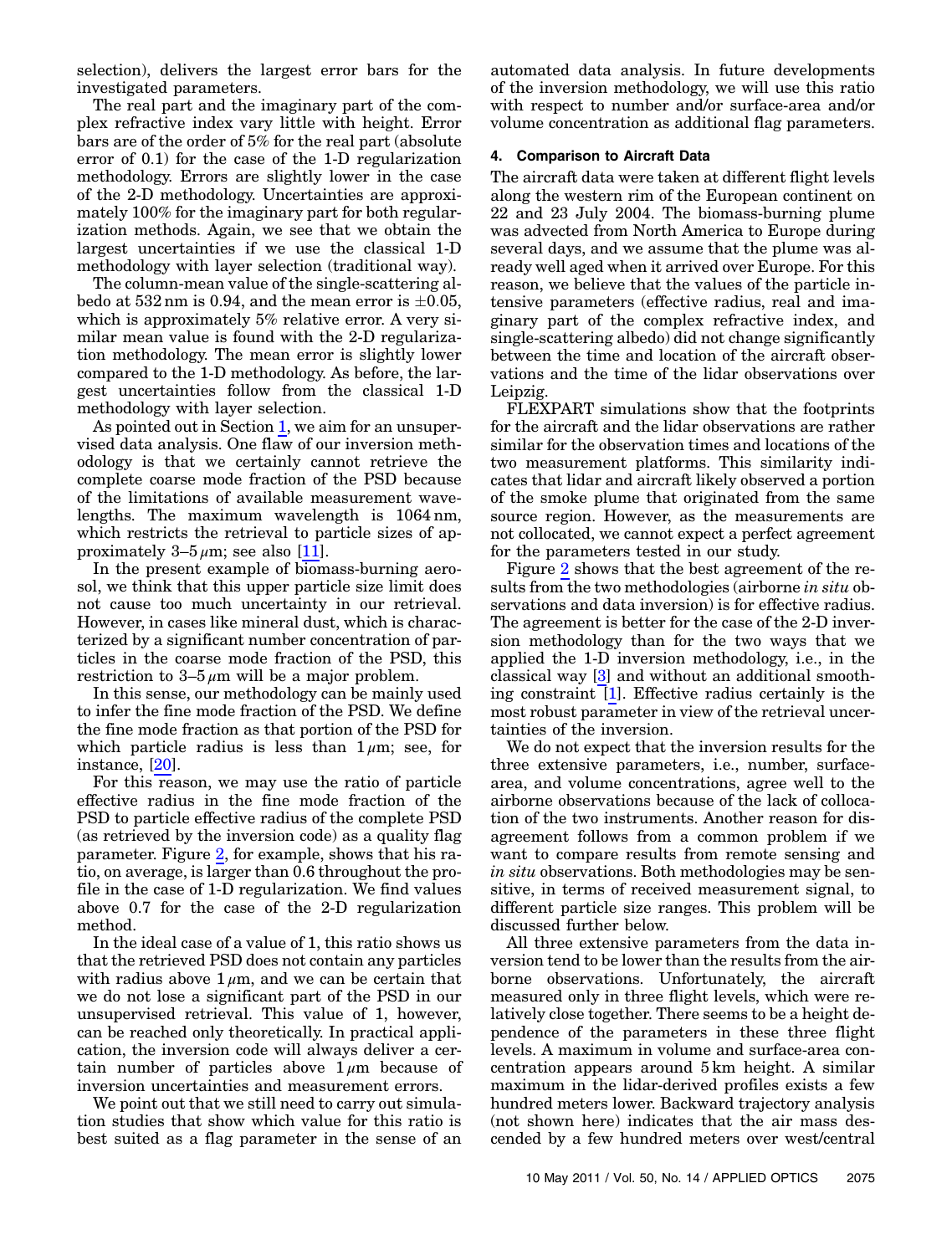selection), delivers the largest error bars for the investigated parameters.

The real part and the imaginary part of the complex refractive index vary little with height. Error bars are of the order of 5% for the real part (absolute error of 0.1) for the case of the 1-D regularization methodology. Errors are slightly lower in the case of the 2-D methodology. Uncertainties are approximately 100% for the imaginary part for both regularization methods. Again, we see that we obtain the largest uncertainties if we use the classical 1-D methodology with layer selection (traditional way).

The column-mean value of the single-scattering albedo at  $532 \text{ nm}$  is 0.94, and the mean error is  $\pm 0.05$ , which is approximately 5% relative error. A very similar mean value is found with the 2-D regularization methodology. The mean error is slightly lower compared to the 1-D methodology. As before, the largest uncertainties follow from the classical 1-D methodology with layer selection.

As pointed out in Section [1,](#page-0-0) we aim for an unsupervised data analysis. One flaw of our inversion methodology is that we certainly cannot retrieve the complete coarse mode fraction of the PSD because of the limitations of available measurement wavelengths. The maximum wavelength is 1064 nm, which restricts the retrieval to particle sizes of approximately  $3-5 \mu m$ ; see also [\[11](#page-9-4)].

In the present example of biomass-burning aerosol, we think that this upper particle size limit does not cause too much uncertainty in our retrieval. However, in cases like mineral dust, which is characterized by a significant number concentration of particles in the coarse mode fraction of the PSD, this restriction to  $3-5 \mu m$  will be a major problem.

In this sense, our methodology can be mainly used to infer the fine mode fraction of the PSD. We define the fine mode fraction as that portion of the PSD for which particle radius is less than  $1 \mu m$ ; see, for instance, [[20](#page-10-6)].

For this reason, we may use the ratio of particle effective radius in the fine mode fraction of the PSD to particle effective radius of the complete PSD (as retrieved by the inversion code) as a quality flag parameter. Figure [2,](#page-5-0) for example, shows that his ratio, on average, is larger than 0.6 throughout the profile in the case of 1-D regularization. We find values above 0.7 for the case of the 2-D regularization method.

In the ideal case of a value of 1, this ratio shows us that the retrieved PSD does not contain any particles with radius above  $1 \mu m$ , and we can be certain that we do not lose a significant part of the PSD in our unsupervised retrieval. This value of 1, however, can be reached only theoretically. In practical application, the inversion code will always deliver a certain number of particles above  $1 \mu m$  because of inversion uncertainties and measurement errors.

We point out that we still need to carry out simulation studies that show which value for this ratio is best suited as a flag parameter in the sense of an

automated data analysis. In future developments of the inversion methodology, we will use this ratio with respect to number and/or surface-area and/or volume concentration as additional flag parameters.

# <span id="page-6-0"></span>4. Comparison to Aircraft Data

The aircraft data were taken at different flight levels along the western rim of the European continent on 22 and 23 July 2004. The biomass-burning plume was advected from North America to Europe during several days, and we assume that the plume was already well aged when it arrived over Europe. For this reason, we believe that the values of the particle intensive parameters (effective radius, real and imaginary part of the complex refractive index, and single-scattering albedo) did not change significantly between the time and location of the aircraft observations and the time of the lidar observations over Leipzig.

FLEXPART simulations show that the footprints for the aircraft and the lidar observations are rather similar for the observation times and locations of the two measurement platforms. This similarity indicates that lidar and aircraft likely observed a portion of the smoke plume that originated from the same source region. However, as the measurements are not collocated, we cannot expect a perfect agreement for the parameters tested in our study.

Figure [2](#page-5-0) shows that the best agreement of the results from the two methodologies (airborne in situ observations and data inversion) is for effective radius. The agreement is better for the case of the 2-D inversion methodology than for the two ways that we applied the 1-D inversion methodology, i.e., in the classical way [[3](#page-9-7)] and without an additional smoothing constraint [\[1\]](#page-9-0). Effective radius certainly is the most robust parameter in view of the retrieval uncertainties of the inversion.

We do not expect that the inversion results for the three extensive parameters, i.e., number, surfacearea, and volume concentrations, agree well to the airborne observations because of the lack of collocation of the two instruments. Another reason for disagreement follows from a common problem if we want to compare results from remote sensing and in situ observations. Both methodologies may be sensitive, in terms of received measurement signal, to different particle size ranges. This problem will be discussed further below.

All three extensive parameters from the data inversion tend to be lower than the results from the airborne observations. Unfortunately, the aircraft measured only in three flight levels, which were relatively close together. There seems to be a height dependence of the parameters in these three flight levels. A maximum in volume and surface-area concentration appears around 5 km height. A similar maximum in the lidar-derived profiles exists a few hundred meters lower. Backward trajectory analysis (not shown here) indicates that the air mass descended by a few hundred meters over west/central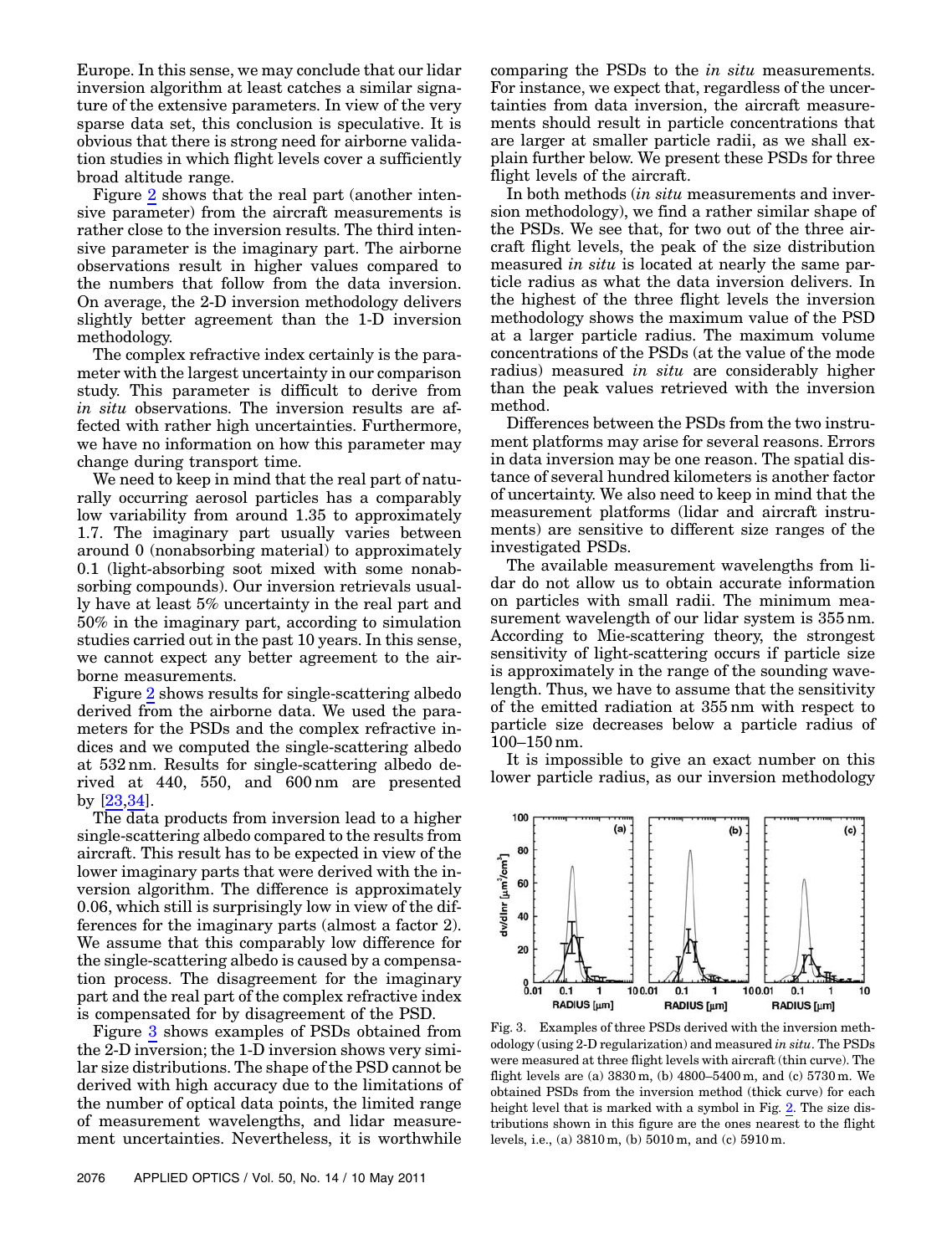Europe. In this sense, we may conclude that our lidar inversion algorithm at least catches a similar signature of the extensive parameters. In view of the very sparse data set, this conclusion is speculative. It is obvious that there is strong need for airborne validation studies in which flight levels cover a sufficiently broad altitude range.

Figure [2](#page-5-0) shows that the real part (another intensive parameter) from the aircraft measurements is rather close to the inversion results. The third intensive parameter is the imaginary part. The airborne observations result in higher values compared to the numbers that follow from the data inversion. On average, the 2-D inversion methodology delivers slightly better agreement than the 1-D inversion methodology.

The complex refractive index certainly is the parameter with the largest uncertainty in our comparison study. This parameter is difficult to derive from in situ observations. The inversion results are affected with rather high uncertainties. Furthermore, we have no information on how this parameter may change during transport time.

We need to keep in mind that the real part of naturally occurring aerosol particles has a comparably low variability from around 1.35 to approximately 1.7. The imaginary part usually varies between around 0 (nonabsorbing material) to approximately 0.1 (light-absorbing soot mixed with some nonabsorbing compounds). Our inversion retrievals usually have at least 5% uncertainty in the real part and 50% in the imaginary part, according to simulation studies carried out in the past 10 years. In this sense, we cannot expect any better agreement to the airborne measurements.

Figure [2](#page-5-0) shows results for single-scattering albedo derived from the airborne data. We used the parameters for the PSDs and the complex refractive indices and we computed the single-scattering albedo at 532 nm. Results for single-scattering albedo derived at 440, 550, and 600 nm are presented by [[23](#page-10-9)[,34](#page-10-20)].

The data products from inversion lead to a higher single-scattering albedo compared to the results from aircraft. This result has to be expected in view of the lower imaginary parts that were derived with the inversion algorithm. The difference is approximately 0.06, which still is surprisingly low in view of the differences for the imaginary parts (almost a factor 2). We assume that this comparably low difference for the single-scattering albedo is caused by a compensation process. The disagreement for the imaginary part and the real part of the complex refractive index is compensated for by disagreement of the PSD.

Figure [3](#page-7-0) shows examples of PSDs obtained from the 2-D inversion; the 1-D inversion shows very similar size distributions. The shape of the PSD cannot be derived with high accuracy due to the limitations of the number of optical data points, the limited range of measurement wavelengths, and lidar measurement uncertainties. Nevertheless, it is worthwhile

comparing the PSDs to the in situ measurements. For instance, we expect that, regardless of the uncertainties from data inversion, the aircraft measurements should result in particle concentrations that are larger at smaller particle radii, as we shall explain further below. We present these PSDs for three flight levels of the aircraft.

In both methods *(in situ* measurements and inversion methodology), we find a rather similar shape of the PSDs. We see that, for two out of the three aircraft flight levels, the peak of the size distribution measured in situ is located at nearly the same particle radius as what the data inversion delivers. In the highest of the three flight levels the inversion methodology shows the maximum value of the PSD at a larger particle radius. The maximum volume concentrations of the PSDs (at the value of the mode radius) measured in situ are considerably higher than the peak values retrieved with the inversion method.

Differences between the PSDs from the two instrument platforms may arise for several reasons. Errors in data inversion may be one reason. The spatial distance of several hundred kilometers is another factor of uncertainty. We also need to keep in mind that the measurement platforms (lidar and aircraft instruments) are sensitive to different size ranges of the investigated PSDs.

The available measurement wavelengths from lidar do not allow us to obtain accurate information on particles with small radii. The minimum measurement wavelength of our lidar system is 355 nm. According to Mie-scattering theory, the strongest sensitivity of light-scattering occurs if particle size is approximately in the range of the sounding wavelength. Thus, we have to assume that the sensitivity of the emitted radiation at 355 nm with respect to particle size decreases below a particle radius of <sup>100</sup>–<sup>150</sup> nm.

It is impossible to give an exact number on this lower particle radius, as our inversion methodology

<span id="page-7-0"></span>

Fig. 3. Examples of three PSDs derived with the inversion methodology (using 2-D regularization) and measured in situ. The PSDs were measured at three flight levels with aircraft (thin curve). The flight levels are (a) <sup>3830</sup> m, (b) <sup>4800</sup>–<sup>5400</sup> m, and (c) <sup>5730</sup> m. We obtained PSDs from the inversion method (thick curve) for each height level that is marked with a symbol in Fig. [2.](#page-5-0) The size distributions shown in this figure are the ones nearest to the flight levels, i.e., (a) 3810 m, (b) 5010 m, and (c) 5910 m.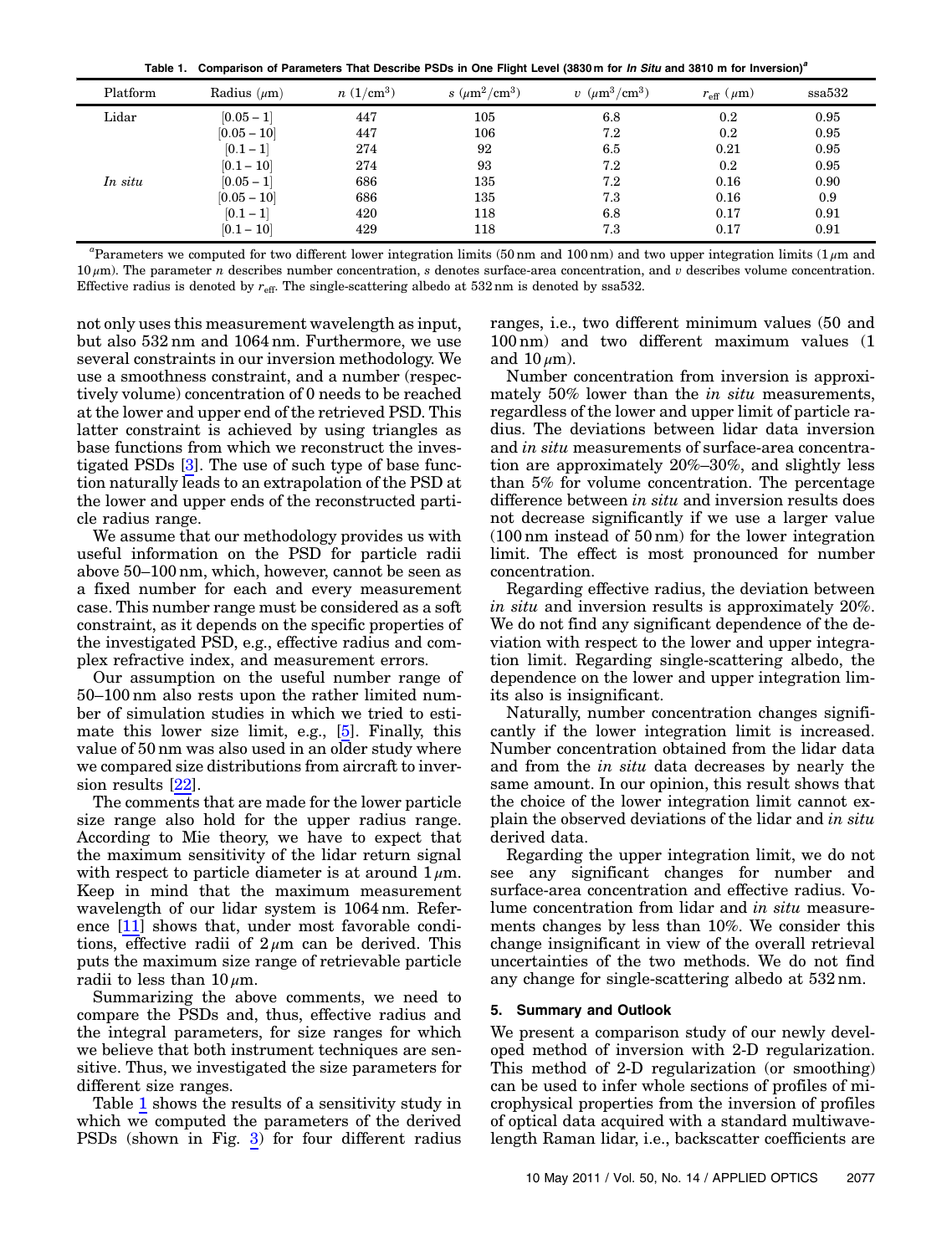Table 1. Comparison of Parameters That Describe PSDs in One Flight Level (3830 m for In Situ and 3810 m for Inversion)<sup>a</sup>

<span id="page-8-1"></span>

| <u>, and the component component component and the component that the component component component that the component</u> |                  |             |                    |                               |                          |        |
|----------------------------------------------------------------------------------------------------------------------------|------------------|-------------|--------------------|-------------------------------|--------------------------|--------|
| Platform                                                                                                                   | Radius $(\mu m)$ | $n(1/cm^3)$ | $s~(\mu m^2/cm^3)$ | $v \ (\mu m^3 / \text{cm}^3)$ | $r_{\rm eff}$ ( $\mu$ m) | ssa532 |
| Lidar                                                                                                                      | $[0.05 - 1]$     | 447         | 105                | 6.8                           | 0.2                      | 0.95   |
|                                                                                                                            | $[0.05 - 10]$    | 447         | 106                | 7.2                           | 0.2                      | 0.95   |
|                                                                                                                            | $[0.1 - 1]$      | 274         | 92                 | 6.5                           | 0.21                     | 0.95   |
|                                                                                                                            | $[0.1 - 10]$     | 274         | 93                 | 7.2                           | 0.2                      | 0.95   |
| In situ                                                                                                                    | $[0.05 - 1]$     | 686         | 135                | $7.2\,$                       | 0.16                     | 0.90   |
|                                                                                                                            | $[0.05 - 10]$    | 686         | 135                | 7.3                           | 0.16                     | 0.9    |
|                                                                                                                            | $[0.1 - 1]$      | 420         | 118                | 6.8                           | 0.17                     | 0.91   |
|                                                                                                                            | $[0.1 - 10]$     | 429         | 118                | 7.3                           | 0.17                     | 0.91   |

<sup>a</sup>Parameters we computed for two different lower integration limits (50 nm and 100 nm) and two upper integration limits (1 $\mu$ m and  $10 \mu m$ ). The parameter n describes number concentration, s denotes surface-area concentration, and v describes volume concentration. Effective radius is denoted by  $r_{\text{eff}}$ . The single-scattering albedo at 532 nm is denoted by ssa532.

not only uses this measurement wavelength as input, but also 532 nm and 1064 nm. Furthermore, we use several constraints in our inversion methodology. We use a smoothness constraint, and a number (respectively volume) concentration of 0 needs to be reached at the lower and upper end of the retrieved PSD. This latter constraint is achieved by using triangles as base functions from which we reconstruct the investigated PSDs [[3](#page-9-7)]. The use of such type of base function naturally leads to an extrapolation of the PSD at the lower and upper ends of the reconstructed particle radius range.

We assume that our methodology provides us with useful information on the PSD for particle radii above <sup>50</sup>–<sup>100</sup> nm, which, however, cannot be seen as a fixed number for each and every measurement case. This number range must be considered as a soft constraint, as it depends on the specific properties of the investigated PSD, e.g., effective radius and complex refractive index, and measurement errors.

Our assumption on the useful number range of <sup>50</sup>–<sup>100</sup> nm also rests upon the rather limited number of simulation studies in which we tried to estimate this lower size limit, e.g., [[5](#page-9-2)]. Finally, this value of 50 nm was also used in an older study where we compared size distributions from aircraft to inversion results [[22\]](#page-10-8).

The comments that are made for the lower particle size range also hold for the upper radius range. According to Mie theory, we have to expect that the maximum sensitivity of the lidar return signal with respect to particle diameter is at around  $1 \mu$ m. Keep in mind that the maximum measurement wavelength of our lidar system is 1064 nm. Reference [\[11](#page-9-4)] shows that, under most favorable conditions, effective radii of  $2 \mu m$  can be derived. This puts the maximum size range of retrievable particle radii to less than  $10 \mu m$ .

Summarizing the above comments, we need to compare the PSDs and, thus, effective radius and the integral parameters, for size ranges for which we believe that both instrument techniques are sensitive. Thus, we investigated the size parameters for different size ranges.

Table [1](#page-8-1) shows the results of a sensitivity study in which we computed the parameters of the derived PSDs (shown in Fig. [3](#page-7-0)) for four different radius

ranges, i.e., two different minimum values (50 and 100 nm) and two different maximum values (1 and  $10 \mu m$ ).

Number concentration from inversion is approximately 50% lower than the in situ measurements, regardless of the lower and upper limit of particle radius. The deviations between lidar data inversion and in situ measurements of surface-area concentration are approximately 20%–30%, and slightly less than 5% for volume concentration. The percentage difference between in situ and inversion results does not decrease significantly if we use a larger value (100 nm instead of 50 nm) for the lower integration limit. The effect is most pronounced for number concentration.

Regarding effective radius, the deviation between in situ and inversion results is approximately 20%. We do not find any significant dependence of the deviation with respect to the lower and upper integration limit. Regarding single-scattering albedo, the dependence on the lower and upper integration limits also is insignificant.

Naturally, number concentration changes significantly if the lower integration limit is increased. Number concentration obtained from the lidar data and from the in situ data decreases by nearly the same amount. In our opinion, this result shows that the choice of the lower integration limit cannot explain the observed deviations of the lidar and in situ derived data.

Regarding the upper integration limit, we do not see any significant changes for number and surface-area concentration and effective radius. Volume concentration from lidar and in situ measurements changes by less than 10%. We consider this change insignificant in view of the overall retrieval uncertainties of the two methods. We do not find any change for single-scattering albedo at 532 nm.

## <span id="page-8-0"></span>5. Summary and Outlook

We present a comparison study of our newly developed method of inversion with 2-D regularization. This method of 2-D regularization (or smoothing) can be used to infer whole sections of profiles of microphysical properties from the inversion of profiles of optical data acquired with a standard multiwavelength Raman lidar, i.e., backscatter coefficients are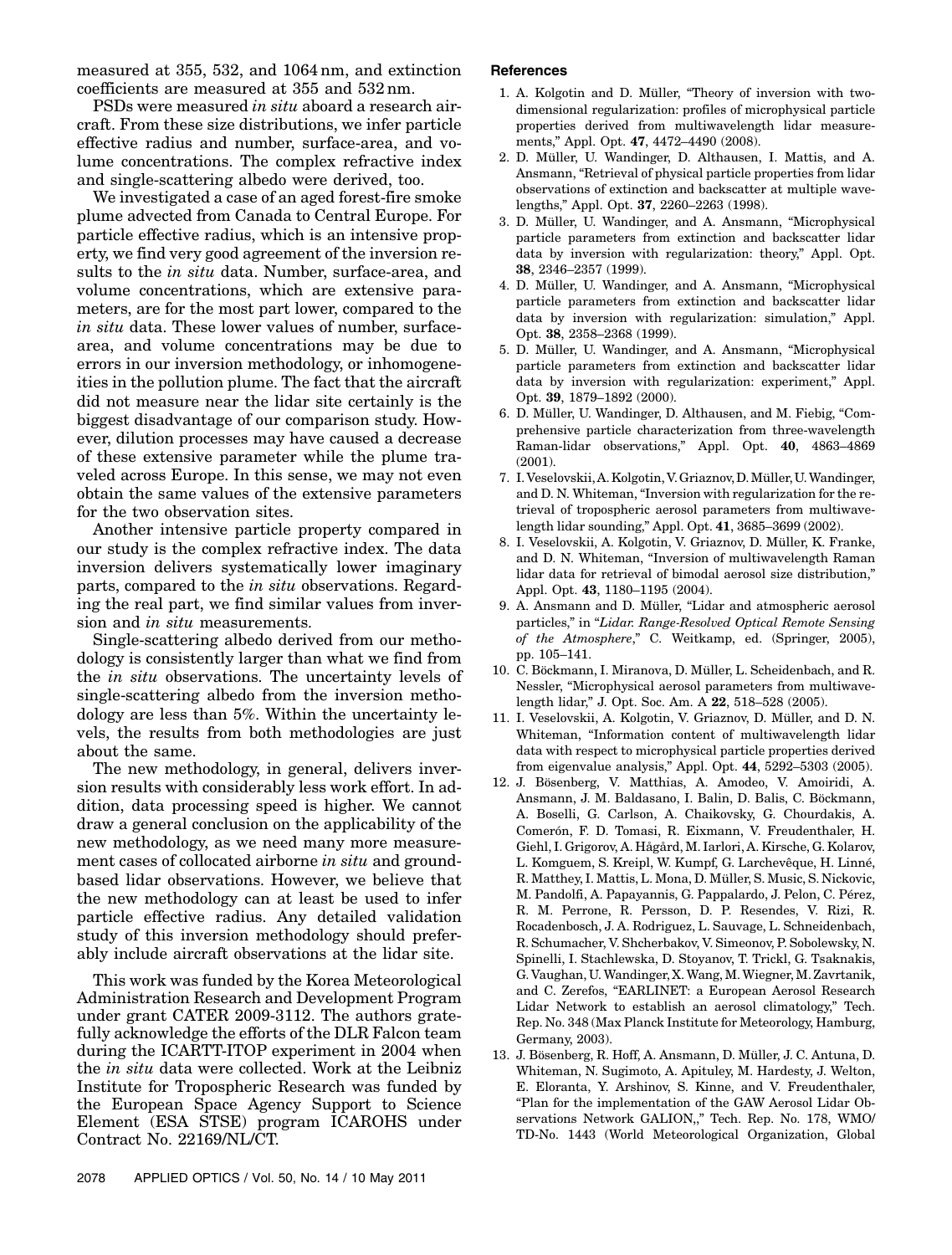measured at 355, 532, and 1064 nm, and extinction coefficients are measured at 355 and 532 nm.

PSDs were measured in situ aboard a research aircraft. From these size distributions, we infer particle effective radius and number, surface-area, and volume concentrations. The complex refractive index and single-scattering albedo were derived, too.

We investigated a case of an aged forest-fire smoke plume advected from Canada to Central Europe. For particle effective radius, which is an intensive property, we find very good agreement of the inversion results to the in situ data. Number, surface-area, and volume concentrations, which are extensive parameters, are for the most part lower, compared to the in situ data. These lower values of number, surfacearea, and volume concentrations may be due to errors in our inversion methodology, or inhomogeneities in the pollution plume. The fact that the aircraft did not measure near the lidar site certainly is the biggest disadvantage of our comparison study. However, dilution processes may have caused a decrease of these extensive parameter while the plume traveled across Europe. In this sense, we may not even obtain the same values of the extensive parameters for the two observation sites.

Another intensive particle property compared in our study is the complex refractive index. The data inversion delivers systematically lower imaginary parts, compared to the in situ observations. Regarding the real part, we find similar values from inversion and in situ measurements.

Single-scattering albedo derived from our methodology is consistently larger than what we find from the in situ observations. The uncertainty levels of single-scattering albedo from the inversion methodology are less than 5%. Within the uncertainty levels, the results from both methodologies are just about the same.

The new methodology, in general, delivers inversion results with considerably less work effort. In addition, data processing speed is higher. We cannot draw a general conclusion on the applicability of the new methodology, as we need many more measurement cases of collocated airborne in situ and groundbased lidar observations. However, we believe that the new methodology can at least be used to infer particle effective radius. Any detailed validation study of this inversion methodology should preferably include aircraft observations at the lidar site.

This work was funded by the Korea Meteorological Administration Research and Development Program under grant CATER 2009-3112. The authors gratefully acknowledge the efforts of the DLR Falcon team during the ICARTT-ITOP experiment in 2004 when the in situ data were collected. Work at the Leibniz Institute for Tropospheric Research was funded by the European Space Agency Support to Science Element (ESA STSE) program ICAROHS under Contract No. 22169/NL/CT.

## References

- <span id="page-9-0"></span>1. A. Kolgotin and D. Müller, "Theory of inversion with twodimensional regularization: profiles of microphysical particle properties derived from multiwavelength lidar measurements," Appl. Opt. <sup>47</sup>, 4472–4490 (2008).
- <span id="page-9-1"></span>2. D. Müller, U. Wandinger, D. Althausen, I. Mattis, and A. Ansmann, "Retrieval of physical particle properties from lidar observations of extinction and backscatter at multiple wavelengths," Appl. Opt. <sup>37</sup>, 2260–2263 (1998).
- <span id="page-9-7"></span>3. D. Müller, U. Wandinger, and A. Ansmann, "Microphysical particle parameters from extinction and backscatter lidar data by inversion with regularization: theory," Appl. Opt. <sup>38</sup>, 2346–2357 (1999).
- <span id="page-9-8"></span>4. D. Müller, U. Wandinger, and A. Ansmann, "Microphysical particle parameters from extinction and backscatter lidar data by inversion with regularization: simulation," Appl. Opt. <sup>38</sup>, 2358–2368 (1999).
- <span id="page-9-2"></span>5. D. Müller, U. Wandinger, and A. Ansmann, "Microphysical particle parameters from extinction and backscatter lidar data by inversion with regularization: experiment," Appl. Opt. <sup>39</sup>, 1879–1892 (2000).
- <span id="page-9-3"></span>6. D. Müller, U. Wandinger, D. Althausen, and M. Fiebig, "Comprehensive particle characterization from three-wavelength Raman-lidar observations," Appl. Opt. <sup>40</sup>, 4863–<sup>4869</sup> (2001).
- <span id="page-9-9"></span>7. I. Veselovskii, A.Kolgotin, V. Griaznov,D.Müller,U.Wandinger, and D. N. Whiteman, "Inversion with regularization for the retrieval of tropospheric aerosol parameters from multiwavelength lidar sounding," Appl. Opt. <sup>41</sup>, 3685–3699 (2002).
- <span id="page-9-10"></span>8. I. Veselovskii, A. Kolgotin, V. Griaznov, D. Müller, K. Franke, and D. N. Whiteman, "Inversion of multiwavelength Raman lidar data for retrieval of bimodal aerosol size distribution," Appl. Opt. <sup>43</sup>, 1180–1195 (2004).
- <span id="page-9-11"></span>9. A. Ansmann and D. Müller, "Lidar and atmospheric aerosol particles," in "Lidar. Range-Resolved Optical Remote Sensing of the Atmosphere," C. Weitkamp, ed. (Springer, 2005), pp. 105–141.
- 10. C. Böckmann, I. Miranova, D. Müller, L. Scheidenbach, and R. Nessler, "Microphysical aerosol parameters from multiwavelength lidar," J. Opt. Soc. Am. A <sup>22</sup>, 518–528 (2005).
- <span id="page-9-4"></span>11. I. Veselovskii, A. Kolgotin, V. Griaznov, D. Müller, and D. N. Whiteman, "Information content of multiwavelength lidar data with respect to microphysical particle properties derived from eigenvalue analysis," Appl. Opt. <sup>44</sup>, 5292–5303 (2005).
- <span id="page-9-5"></span>12. J. Bösenberg, V. Matthias, A. Amodeo, V. Amoiridi, A. Ansmann, J. M. Baldasano, I. Balin, D. Balis, C. Böckmann, A. Boselli, G. Carlson, A. Chaikovsky, G. Chourdakis, A. Comerón, F. D. Tomasi, R. Eixmann, V. Freudenthaler, H. Giehl, I. Grigorov, A. Hågård, M. Iarlori, A. Kirsche, G. Kolarov, L. Komguem, S. Kreipl, W. Kumpf, G. Larchevêque, H. Linné, R. Matthey, I. Mattis, L. Mona, D. Müller, S. Music, S. Nickovic, M. Pandolfi, A. Papayannis, G. Pappalardo, J. Pelon, C. Pérez, R. M. Perrone, R. Persson, D. P. Resendes, V. Rizi, R. Rocadenbosch, J. A. Rodriguez, L. Sauvage, L. Schneidenbach, R. Schumacher, V. Shcherbakov, V. Simeonov, P. Sobolewsky, N. Spinelli, I. Stachlewska, D. Stoyanov, T. Trickl, G. Tsaknakis, G. Vaughan, U.Wandinger, X.Wang, M.Wiegner, M. Zavrtanik, and C. Zerefos, "EARLINET: a European Aerosol Research Lidar Network to establish an aerosol climatology," Tech. Rep. No. 348 (Max Planck Institute for Meteorology, Hamburg, Germany, 2003).
- <span id="page-9-6"></span>13. J. Bösenberg, R. Hoff, A. Ansmann, D. Müller, J. C. Antuna, D. Whiteman, N. Sugimoto, A. Apituley, M. Hardesty, J. Welton, E. Eloranta, Y. Arshinov, S. Kinne, and V. Freudenthaler, "Plan for the implementation of the GAW Aerosol Lidar Observations Network GALION,," Tech. Rep. No. 178, WMO/ TD-No. 1443 (World Meteorological Organization, Global